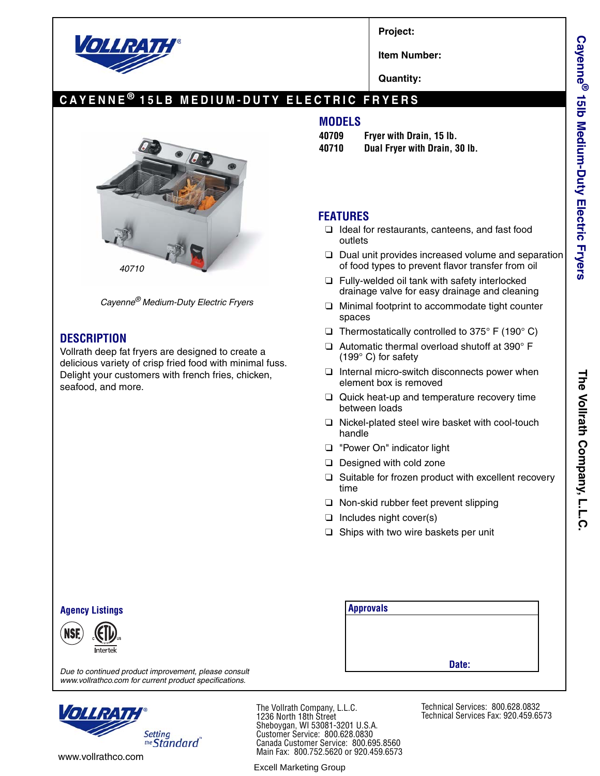

**Project:**

**Item Number:**

**Quantity:**

# **CAYENNE ® 15LB MEDIUM-DUTY ELECTRIC FRYERS**



*Cayenne® Medium-Duty Electric Fryers*

## **DESCRIPTION**

Vollrath deep fat fryers are designed to create a delicious variety of crisp fried food with minimal fuss. Delight your customers with french fries, chicken, seafood, and more.

### **MODELS**

- **40709 Fryer with Drain, 15 lb.**
- **40710 Dual Fryer with Drain, 30 lb.**

## **FEATURES**

- ❑ Ideal for restaurants, canteens, and fast food outlets
- ❑ Dual unit provides increased volume and separation of food types to prevent flavor transfer from oil
- ❑ Fully-welded oil tank with safety interlocked drainage valve for easy drainage and cleaning
- ❑ Minimal footprint to accommodate tight counter spaces
- $\Box$  Thermostatically controlled to 375° F (190° C)
- ❑ Automatic thermal overload shutoff at 390° F (199° C) for safety
- ❑ Internal micro-switch disconnects power when element box is removed
- ❑ Quick heat-up and temperature recovery time between loads
- ❑ Nickel-plated steel wire basket with cool-touch handle
- ❑ "Power On" indicator light
- ❑ Designed with cold zone
- ❑ Suitable for frozen product with excellent recovery time
- ❑ Non-skid rubber feet prevent slipping
- ❑ Includes night cover(s)
- ❑ Ships with two wire baskets per unit

| <b>Agency Listings</b>                                                                                         | <b>Approvals</b> |
|----------------------------------------------------------------------------------------------------------------|------------------|
| (NSE)<br>Intertek                                                                                              |                  |
| Due to continued product improvement, please consult<br>www.vollrathco.com for current product specifications. | Date:            |

*www.vollrathco.com for current product specifications.*



The Vollrath Company, L.L.C. 1236 North 18th Street Sheboygan, WI 53081-3201 U.S.A. Customer Service: 800.628.0830 Canada Customer Service: 800.695.8560 Main Fax: 800.752.5620 or 920.459.6573

Excell Marketing Group

Technical Services: 800.628.0832 Technical Services Fax: 920.459.6573